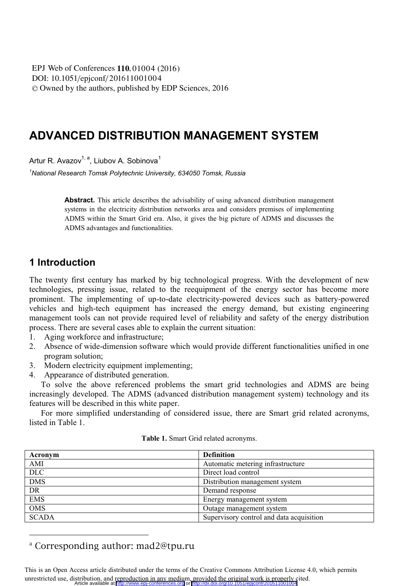DOI: 10.1051/epjconf/201611001004 © Owned by the authors, published by EDP Sciences, 2016 **EPJ** Web of Conferences **110**, 01004 (2016)

# **ADVANCED DISTRIBUTION MANAGEMENT SYSTEM**

Artur R. Avazov<sup>1, a</sup>, Liubov A. Sobinova<sup>1</sup>

*1 National Research Tomsk Polytechnic University, 634050 Tomsk, Russia* 

Abstract. This article describes the advisability of using advanced distribution management systems in the electricity distribution networks area and considers premises of implementing ADMS within the Smart Grid era. Also, it gives the big picture of ADMS and discusses the ADMS advantages and functionalities.

#### **1 Introduction**

The twenty first century has marked by big technological progress. With the development of new technologies, pressing issue, related to the reequipment of the energy sector has become more prominent. The implementing of up-to-date electricity-powered devices such as battery-powered vehicles and high-tech equipment has increased the energy demand, but existing engineering management tools can not provide required level of reliability and safety of the energy distribution process. There are several cases able to explain the current situation:

- 1. Aging workforce and infrastructure;
- 2. Absence of wide-dimension software which would provide different functionalities unified in one program solution;
- 3. Modern electricity equipment implementing;
- 4. Appearance of distributed generation.

To solve the above referenced problems the smart grid technologies and ADMS are being increasingly developed. The ADMS (advanced distribution management system) technology and its features will be described in this white paper.

For more simplified understanding of considered issue, there are Smart grid related acronyms, listed in Table 1.

| Acronym      | <b>Definition</b>                        |
|--------------|------------------------------------------|
| AMI          | Automatic metering infrastructure        |
| <b>DLC</b>   | Direct load control                      |
| <b>DMS</b>   | Distribution management system           |
| DR           | Demand response                          |
| <b>EMS</b>   | Energy management system                 |
| <b>OMS</b>   | Outage management system                 |
| <b>SCADA</b> | Supervisory control and data acquisition |

**Table 1.** Smart Grid related acronyms.

a Corresponding author: mad2@tpu.ru

 $\overline{a}$ 

This is an Open Access article distributed under the terms of the Creative Commons Attribution License 4.0, which permits unrestricted use, distribution, and reproduction in any medium, provided the original work is properly cited.<br>Article available at <http://www.epj-conferences.org> or <http://dx.doi.org/10.1051/epjconf/201611001004>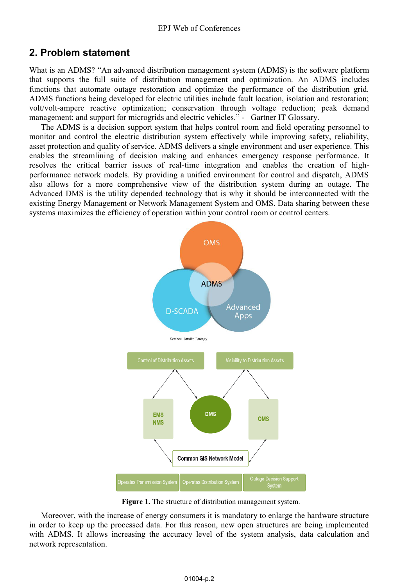#### **2. Problem statement**

What is an ADMS? "An advanced distribution management system (ADMS) is the software platform that supports the full suite of distribution management and optimization. An ADMS includes functions that automate outage restoration and optimize the performance of the distribution grid. ADMS functions being developed for electric utilities include fault location, isolation and restoration; volt/volt-ampere reactive optimization; conservation through voltage reduction; peak demand management; and support for microgrids and electric vehicles." - Gartner IT Glossary.

The ADMS is a decision support system that helps control room and field operating personnel to monitor and control the electric distribution system effectively while improving safety, reliability, asset protection and quality of service. ADMS delivers a single environment and user experience. This enables the streamlining of decision making and enhances emergency response performance. It resolves the critical barrier issues of real-time integration and enables the creation of highperformance network models. By providing a unified environment for control and dispatch, ADMS also allows for a more comprehensive view of the distribution system during an outage. The Advanced DMS is the utility depended technology that is why it should be interconnected with the existing Energy Management or Network Management System and OMS. Data sharing between these systems maximizes the efficiency of operation within your control room or control centers.



**Figure 1.** The structure of distribution management system.

Moreover, with the increase of energy consumers it is mandatory to enlarge the hardware structure in order to keep up the processed data. For this reason, new open structures are being implemented with ADMS. It allows increasing the accuracy level of the system analysis, data calculation and network representation.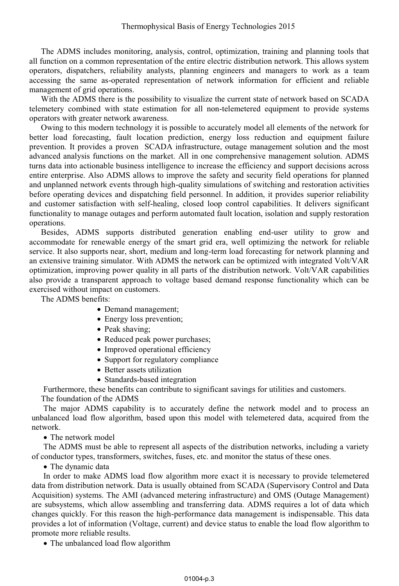The ADMS includes monitoring, analysis, control, optimization, training and planning tools that all function on a common representation of the entire electric distribution network. This allows system operators, dispatchers, reliability analysts, planning engineers and managers to work as a team accessing the same as-operated representation of network information for efficient and reliable management of grid operations.

With the ADMS there is the possibility to visualize the current state of network based on SCADA telemetery combined with state estimation for all non-telemetered equipment to provide systems operators with greater network awareness.

Owing to this modern technology it is possible to accurately model all elements of the network for better load forecasting, fault location prediction, energy loss reduction and equipment failure prevention. It provides a proven SCADA infrastructure, outage management solution and the most advanced analysis functions on the market. All in one comprehensive management solution. ADMS turns data into actionable business intelligence to increase the efficiency and support decisions across entire enterprise. Also ADMS allows to improve the safety and security field operations for planned and unplanned network events through high-quality simulations of switching and restoration activities before operating devices and dispatching field personnel. In addition, it provides superior reliability and customer satisfaction with self-healing, closed loop control capabilities. It delivers significant functionality to manage outages and perform automated fault location, isolation and supply restoration operations.

Besides, ADMS supports distributed generation enabling end-user utility to grow and accommodate for renewable energy of the smart grid era, well optimizing the network for reliable service. It also supports near, short, medium and long-term load forecasting for network planning and an extensive training simulator. With ADMS the network can be optimized with integrated Volt/VAR optimization, improving power quality in all parts of the distribution network. Volt/VAR capabilities also provide a transparent approach to voltage based demand response functionality which can be exercised without impact on customers.

The ADMS benefits:

- Demand management;
- Energy loss prevention;
- Peak shaving;
- Reduced peak power purchases;
- Improved operational efficiency
- Support for regulatory compliance
- Better assets utilization
- Standards-based integration

Furthermore, these benefits can contribute to significant savings for utilities and customers. The foundation of the ADMS

The major ADMS capability is to accurately define the network model and to process an unbalanced load flow algorithm, based upon this model with telemetered data, acquired from the network.

• The network model

The ADMS must be able to represent all aspects of the distribution networks, including a variety of conductor types, transformers, switches, fuses, etc. and monitor the status of these ones.

• The dynamic data

In order to make ADMS load flow algorithm more exact it is necessary to provide telemetered data from distribution network. Data is usually obtained from SCADA (Supervisory Control and Data Acquisition) systems. The AMI (advanced metering infrastructure) and OMS (Outage Management) are subsystems, which allow assembling and transferring data. ADMS requires a lot of data which changes quickly. For this reason the high-performance data management is indispensable. This data provides a lot of information (Voltage, current) and device status to enable the load flow algorithm to promote more reliable results.

- The unbalanced load flow algorithm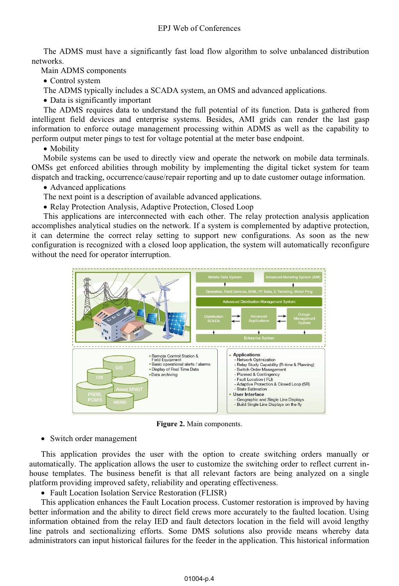The ADMS must have a significantly fast load flow algorithm to solve unbalanced distribution networks.

Main ADMS components

• Control system

The ADMS typically includes a SCADA system, an OMS and advanced applications.

- Data is significantly important

The ADMS requires data to understand the full potential of its function. Data is gathered from intelligent field devices and enterprise systems. Besides, AMI grids can render the last gasp information to enforce outage management processing within ADMS as well as the capability to perform output meter pings to test for voltage potential at the meter base endpoint.

• Mobility

Mobile systems can be used to directly view and operate the network on mobile data terminals. OMSs get enforced abilities through mobility by implementing the digital ticket system for team dispatch and tracking, occurrence/cause/repair reporting and up to date customer outage information.

• Advanced applications

The next point is a description of available advanced applications.

- Relay Protection Analysis, Adaptive Protection, Closed Loop

This applications are interconnected with each other. The relay protection analysis application accomplishes analytical studies on the network. If a system is complemented by adaptive protection, it can determine the correct relay setting to support new configurations. As soon as the new configuration is recognized with a closed loop application, the system will automatically reconfigure without the need for operator interruption.



**Figure 2.** Main components.

• Switch order management

This application provides the user with the option to create switching orders manually or automatically. The application allows the user to customize the switching order to reflect current inhouse templates. The business benefit is that all relevant factors are being analyzed on a single platform providing improved safety, reliability and operating effectiveness.

- Fault Location Isolation Service Restoration (FLISR)

This application enhances the Fault Location process. Customer restoration is improved by having better information and the ability to direct field crews more accurately to the faulted location. Using information obtained from the relay IED and fault detectors location in the field will avoid lengthy line patrols and sectionalizing efforts. Some DMS solutions also provide means whereby data administrators can input historical failures for the feeder in the application. This historical information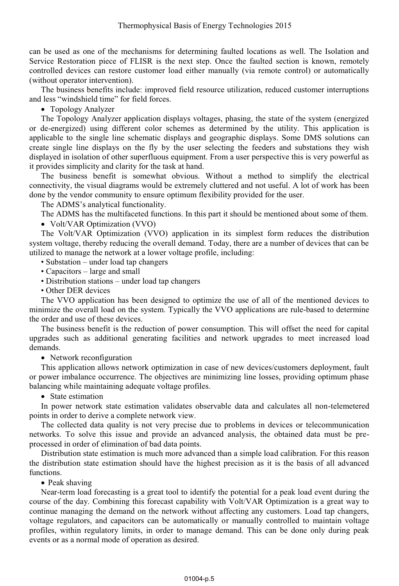can be used as one of the mechanisms for determining faulted locations as well. The Isolation and Service Restoration piece of FLISR is the next step. Once the faulted section is known, remotely controlled devices can restore customer load either manually (via remote control) or automatically (without operator intervention).

The business benefits include: improved field resource utilization, reduced customer interruptions and less "windshield time" for field forces.

• Topology Analyzer

The Topology Analyzer application displays voltages, phasing, the state of the system (energized or de-energized) using different color schemes as determined by the utility. This application is applicable to the single line schematic displays and geographic displays. Some DMS solutions can create single line displays on the fly by the user selecting the feeders and substations they wish displayed in isolation of other superfluous equipment. From a user perspective this is very powerful as it provides simplicity and clarity for the task at hand.

The business benefit is somewhat obvious. Without a method to simplify the electrical connectivity, the visual diagrams would be extremely cluttered and not useful. A lot of work has been done by the vendor community to ensure optimum flexibility provided for the user.

The ADMS's analytical functionality.

The ADMS has the multifaceted functions. In this part it should be mentioned about some of them.

• Volt/VAR Optimization (VVO)

The Volt/VAR Optimization (VVO) application in its simplest form reduces the distribution system voltage, thereby reducing the overall demand. Today, there are a number of devices that can be utilized to manage the network at a lower voltage profile, including:

• Substation – under load tap changers

- Capacitors large and small
- Distribution stations under load tap changers

• Other DER devices

The VVO application has been designed to optimize the use of all of the mentioned devices to minimize the overall load on the system. Typically the VVO applications are rule-based to determine the order and use of these devices.

The business benefit is the reduction of power consumption. This will offset the need for capital upgrades such as additional generating facilities and network upgrades to meet increased load demands.

• Network reconfiguration

This application allows network optimization in case of new devices/customers deployment, fault or power imbalance occurrence. The objectives are minimizing line losses, providing optimum phase balancing while maintaining adequate voltage profiles.

• State estimation

In power network state estimation validates observable data and calculates all non-telemetered points in order to derive a complete network view.

The collected data quality is not very precise due to problems in devices or telecommunication networks. To solve this issue and provide an advanced analysis, the obtained data must be preprocessed in order of elimination of bad data points.

Distribution state estimation is much more advanced than a simple load calibration. For this reason the distribution state estimation should have the highest precision as it is the basis of all advanced functions.

• Peak shaving

Near-term load forecasting is a great tool to identify the potential for a peak load event during the course of the day. Combining this forecast capability with Volt/VAR Optimization is a great way to continue managing the demand on the network without affecting any customers. Load tap changers, voltage regulators, and capacitors can be automatically or manually controlled to maintain voltage profiles, within regulatory limits, in order to manage demand. This can be done only during peak events or as a normal mode of operation as desired.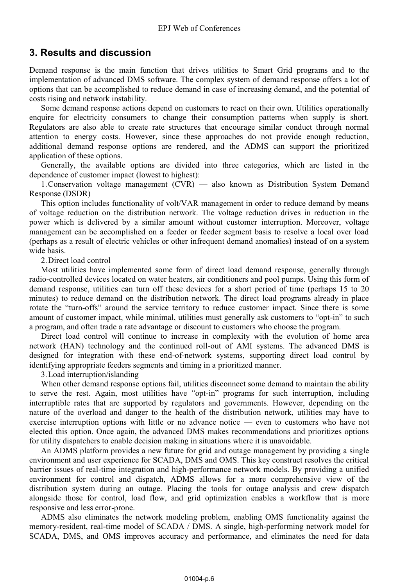# **3. Results and discussion**

Demand response is the main function that drives utilities to Smart Grid programs and to the implementation of advanced DMS software. The complex system of demand response offers a lot of options that can be accomplished to reduce demand in case of increasing demand, and the potential of costs rising and network instability.

Some demand response actions depend on customers to react on their own. Utilities operationally enquire for electricity consumers to change their consumption patterns when supply is short. Regulators are also able to create rate structures that encourage similar conduct through normal attention to energy costs. However, since these approaches do not provide enough reduction, additional demand response options are rendered, and the ADMS can support the prioritized application of these options.

Generally, the available options are divided into three categories, which are listed in the dependence of customer impact (lowest to highest):

1.Conservation voltage management (CVR) — also known as Distribution System Demand Response (DSDR)

This option includes functionality of volt/VAR management in order to reduce demand by means of voltage reduction on the distribution network. The voltage reduction drives in reduction in the power which is delivered by a similar amount without customer interruption. Moreover, voltage management can be accomplished on a feeder or feeder segment basis to resolve a local over load (perhaps as a result of electric vehicles or other infrequent demand anomalies) instead of on a system wide basis.

2.Direct load control

Most utilities have implemented some form of direct load demand response, generally through radio-controlled devices located on water heaters, air conditioners and pool pumps. Using this form of demand response, utilities can turn off these devices for a short period of time (perhaps 15 to 20 minutes) to reduce demand on the distribution network. The direct load programs already in place rotate the "turn-offs" around the service territory to reduce customer impact. Since there is some amount of customer impact, while minimal, utilities must generally ask customers to "opt-in" to such a program, and often trade a rate advantage or discount to customers who choose the program.

Direct load control will continue to increase in complexity with the evolution of home area network (HAN) technology and the continued roll-out of AMI systems. The advanced DMS is designed for integration with these end-of-network systems, supporting direct load control by identifying appropriate feeders segments and timing in a prioritized manner.

3.Load interruption/islanding

When other demand response options fail, utilities disconnect some demand to maintain the ability to serve the rest. Again, most utilities have "opt-in" programs for such interruption, including interruptible rates that are supported by regulators and governments. However, depending on the nature of the overload and danger to the health of the distribution network, utilities may have to exercise interruption options with little or no advance notice — even to customers who have not elected this option. Once again, the advanced DMS makes recommendations and prioritizes options for utility dispatchers to enable decision making in situations where it is unavoidable.

An ADMS platform provides a new future for grid and outage management by providing a single environment and user experience for SCADA, DMS and OMS. This key construct resolves the critical barrier issues of real-time integration and high-performance network models. By providing a unified environment for control and dispatch, ADMS allows for a more comprehensive view of the distribution system during an outage. Placing the tools for outage analysis and crew dispatch alongside those for control, load flow, and grid optimization enables a workflow that is more responsive and less error-prone.

ADMS also eliminates the network modeling problem, enabling OMS functionality against the memory-resident, real-time model of SCADA / DMS. A single, high-performing network model for SCADA, DMS, and OMS improves accuracy and performance, and eliminates the need for data